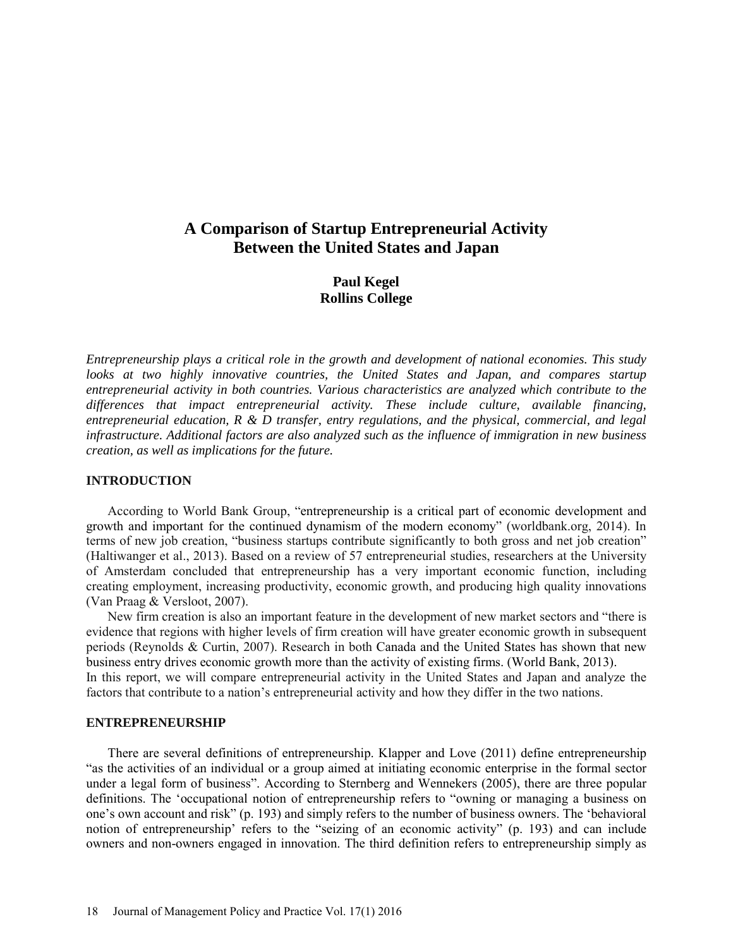# **A Comparison of Startup Entrepreneurial Activity Between the United States and Japan**

# **Paul Kegel Rollins College**

*Entrepreneurship plays a critical role in the growth and development of national economies. This study*  looks at two highly innovative countries, the United States and Japan, and compares startup *entrepreneurial activity in both countries. Various characteristics are analyzed which contribute to the differences that impact entrepreneurial activity. These include culture, available financing, entrepreneurial education, R & D transfer, entry regulations, and the physical, commercial, and legal infrastructure. Additional factors are also analyzed such as the influence of immigration in new business creation, as well as implications for the future.*

# **INTRODUCTION**

According to World Bank Group, "entrepreneurship is a critical part of economic development and growth and important for the continued dynamism of the modern economy" (worldbank.org, 2014). In terms of new job creation, "business startups contribute significantly to both gross and net job creation" (Haltiwanger et al., 2013). Based on a review of 57 entrepreneurial studies, researchers at the University of Amsterdam concluded that entrepreneurship has a very important economic function, including creating employment, increasing productivity, economic growth, and producing high quality innovations (Van Praag & Versloot, 2007).

New firm creation is also an important feature in the development of new market sectors and "there is evidence that regions with higher levels of firm creation will have greater economic growth in subsequent periods (Reynolds & Curtin, 2007). Research in both Canada and the United States has shown that new business entry drives economic growth more than the activity of existing firms. (World Bank, 2013). In this report, we will compare entrepreneurial activity in the United States and Japan and analyze the factors that contribute to a nation's entrepreneurial activity and how they differ in the two nations.

# **ENTREPRENEURSHIP**

There are several definitions of entrepreneurship. Klapper and Love (2011) define entrepreneurship "as the activities of an individual or a group aimed at initiating economic enterprise in the formal sector under a legal form of business". According to Sternberg and Wennekers (2005), there are three popular definitions. The 'occupational notion of entrepreneurship refers to "owning or managing a business on one's own account and risk" (p. 193) and simply refers to the number of business owners. The 'behavioral notion of entrepreneurship' refers to the "seizing of an economic activity" (p. 193) and can include owners and non-owners engaged in innovation. The third definition refers to entrepreneurship simply as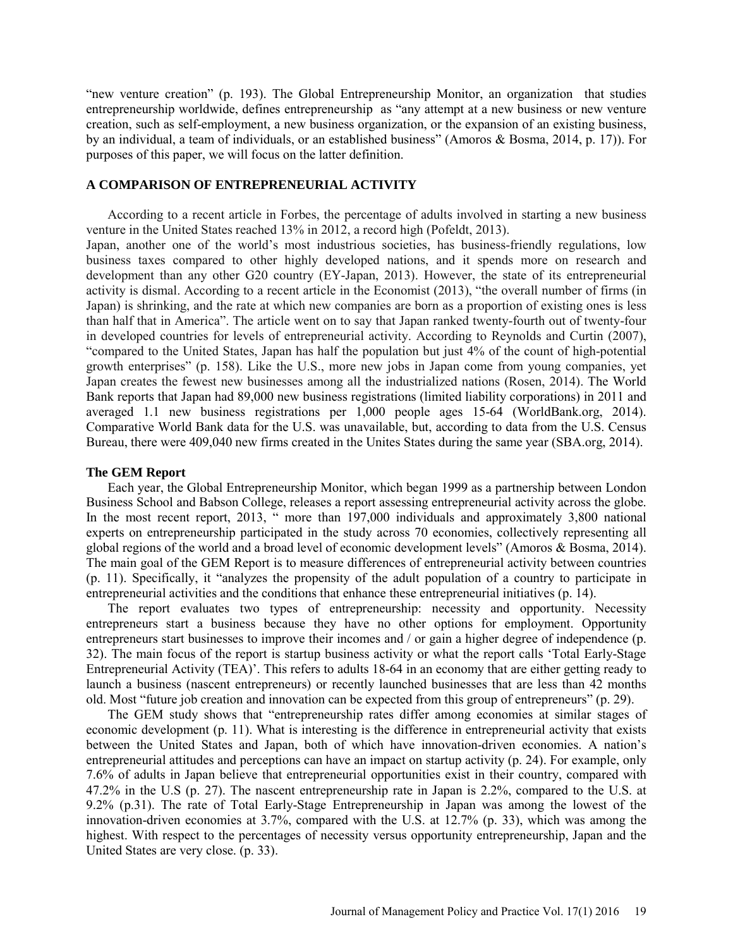"new venture creation" (p. 193). The Global Entrepreneurship Monitor, an organization that studies entrepreneurship worldwide, defines entrepreneurship as "any attempt at a new business or new venture creation, such as self-employment, a new business organization, or the expansion of an existing business, by an individual, a team of individuals, or an established business" (Amoros & Bosma, 2014, p. 17)). For purposes of this paper, we will focus on the latter definition.

# **A COMPARISON OF ENTREPRENEURIAL ACTIVITY**

According to a recent article in Forbes, the percentage of adults involved in starting a new business venture in the United States reached 13% in 2012, a record high (Pofeldt, 2013).

Japan, another one of the world's most industrious societies, has business-friendly regulations, low business taxes compared to other highly developed nations, and it spends more on research and development than any other G20 country (EY-Japan, 2013). However, the state of its entrepreneurial activity is dismal. According to a recent article in the Economist (2013), "the overall number of firms (in Japan) is shrinking, and the rate at which new companies are born as a proportion of existing ones is less than half that in America". The article went on to say that Japan ranked twenty-fourth out of twenty-four in developed countries for levels of entrepreneurial activity. According to Reynolds and Curtin (2007), "compared to the United States, Japan has half the population but just 4% of the count of high-potential growth enterprises" (p. 158). Like the U.S., more new jobs in Japan come from young companies, yet Japan creates the fewest new businesses among all the industrialized nations (Rosen, 2014). The World Bank reports that Japan had 89,000 new business registrations (limited liability corporations) in 2011 and averaged 1.1 new business registrations per 1,000 people ages 15-64 (WorldBank.org, 2014). Comparative World Bank data for the U.S. was unavailable, but, according to data from the U.S. Census Bureau, there were 409,040 new firms created in the Unites States during the same year (SBA.org, 2014).

#### **The GEM Report**

Each year, the Global Entrepreneurship Monitor, which began 1999 as a partnership between London Business School and Babson College, releases a report assessing entrepreneurial activity across the globe. In the most recent report, 2013, " more than 197,000 individuals and approximately 3,800 national experts on entrepreneurship participated in the study across 70 economies, collectively representing all global regions of the world and a broad level of economic development levels" (Amoros & Bosma, 2014). The main goal of the GEM Report is to measure differences of entrepreneurial activity between countries (p. 11). Specifically, it "analyzes the propensity of the adult population of a country to participate in entrepreneurial activities and the conditions that enhance these entrepreneurial initiatives (p. 14).

The report evaluates two types of entrepreneurship: necessity and opportunity. Necessity entrepreneurs start a business because they have no other options for employment. Opportunity entrepreneurs start businesses to improve their incomes and / or gain a higher degree of independence (p. 32). The main focus of the report is startup business activity or what the report calls 'Total Early-Stage Entrepreneurial Activity (TEA)'. This refers to adults 18-64 in an economy that are either getting ready to launch a business (nascent entrepreneurs) or recently launched businesses that are less than 42 months old. Most "future job creation and innovation can be expected from this group of entrepreneurs" (p. 29).

The GEM study shows that "entrepreneurship rates differ among economies at similar stages of economic development (p. 11). What is interesting is the difference in entrepreneurial activity that exists between the United States and Japan, both of which have innovation-driven economies. A nation's entrepreneurial attitudes and perceptions can have an impact on startup activity (p. 24). For example, only 7.6% of adults in Japan believe that entrepreneurial opportunities exist in their country, compared with 47.2% in the U.S (p. 27). The nascent entrepreneurship rate in Japan is 2.2%, compared to the U.S. at 9.2% (p.31). The rate of Total Early-Stage Entrepreneurship in Japan was among the lowest of the innovation-driven economies at 3.7%, compared with the U.S. at 12.7% (p. 33), which was among the highest. With respect to the percentages of necessity versus opportunity entrepreneurship, Japan and the United States are very close. (p. 33).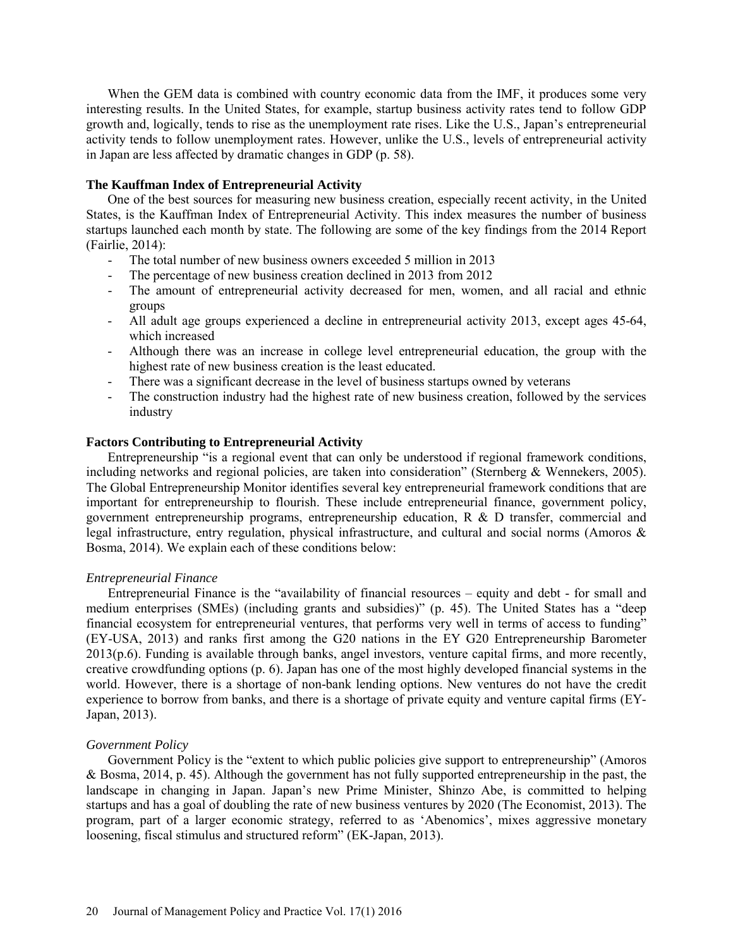When the GEM data is combined with country economic data from the IMF, it produces some very interesting results. In the United States, for example, startup business activity rates tend to follow GDP growth and, logically, tends to rise as the unemployment rate rises. Like the U.S., Japan's entrepreneurial activity tends to follow unemployment rates. However, unlike the U.S., levels of entrepreneurial activity in Japan are less affected by dramatic changes in GDP (p. 58).

# **The Kauffman Index of Entrepreneurial Activity**

One of the best sources for measuring new business creation, especially recent activity, in the United States, is the Kauffman Index of Entrepreneurial Activity. This index measures the number of business startups launched each month by state. The following are some of the key findings from the 2014 Report (Fairlie, 2014):

- The total number of new business owners exceeded 5 million in 2013
- The percentage of new business creation declined in 2013 from 2012
- The amount of entrepreneurial activity decreased for men, women, and all racial and ethnic groups
- All adult age groups experienced a decline in entrepreneurial activity 2013, except ages 45-64, which increased
- Although there was an increase in college level entrepreneurial education, the group with the highest rate of new business creation is the least educated.
- There was a significant decrease in the level of business startups owned by veterans
- The construction industry had the highest rate of new business creation, followed by the services industry

# **Factors Contributing to Entrepreneurial Activity**

Entrepreneurship "is a regional event that can only be understood if regional framework conditions, including networks and regional policies, are taken into consideration" (Sternberg & Wennekers, 2005). The Global Entrepreneurship Monitor identifies several key entrepreneurial framework conditions that are important for entrepreneurship to flourish. These include entrepreneurial finance, government policy, government entrepreneurship programs, entrepreneurship education, R & D transfer, commercial and legal infrastructure, entry regulation, physical infrastructure, and cultural and social norms (Amoros & Bosma, 2014). We explain each of these conditions below:

# *Entrepreneurial Finance*

Entrepreneurial Finance is the "availability of financial resources – equity and debt - for small and medium enterprises (SMEs) (including grants and subsidies)" (p. 45). The United States has a "deep financial ecosystem for entrepreneurial ventures, that performs very well in terms of access to funding" (EY-USA, 2013) and ranks first among the G20 nations in the EY G20 Entrepreneurship Barometer  $2013(p.6)$ . Funding is available through banks, angel investors, venture capital firms, and more recently, creative crowdfunding options (p. 6). Japan has one of the most highly developed financial systems in the world. However, there is a shortage of non-bank lending options. New ventures do not have the credit experience to borrow from banks, and there is a shortage of private equity and venture capital firms (EY-Japan, 2013).

# *Government Policy*

Government Policy is the "extent to which public policies give support to entrepreneurship" (Amoros & Bosma, 2014, p. 45). Although the government has not fully supported entrepreneurship in the past, the landscape in changing in Japan. Japan's new Prime Minister, Shinzo Abe, is committed to helping startups and has a goal of doubling the rate of new business ventures by 2020 (The Economist, 2013). The program, part of a larger economic strategy, referred to as 'Abenomics', mixes aggressive monetary loosening, fiscal stimulus and structured reform" (EK-Japan, 2013).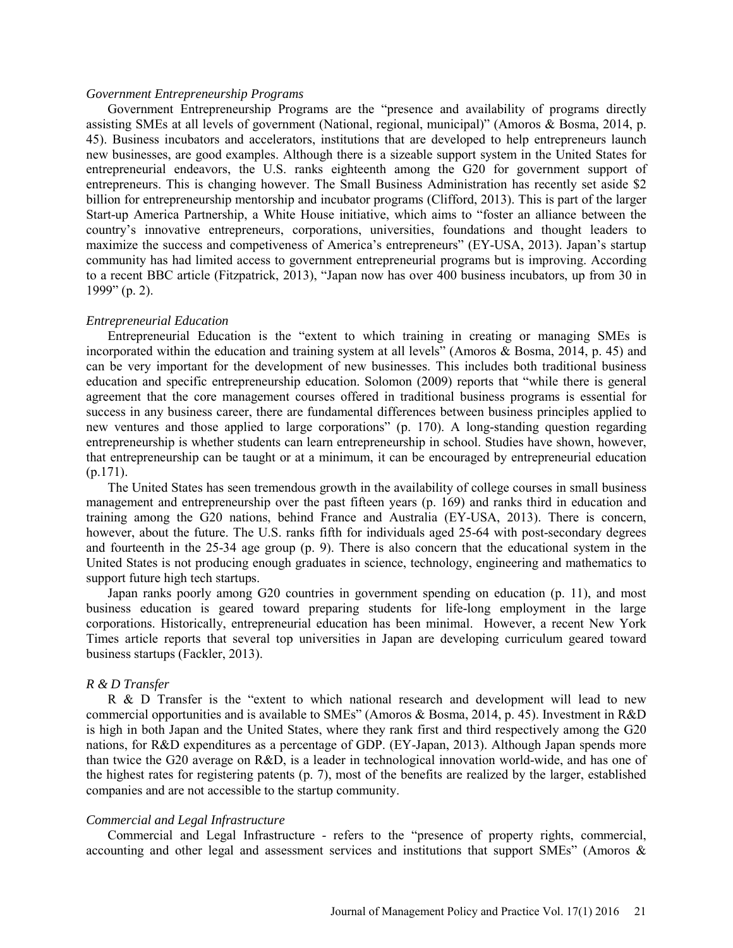#### *Government Entrepreneurship Programs*

Government Entrepreneurship Programs are the "presence and availability of programs directly assisting SMEs at all levels of government (National, regional, municipal)" (Amoros & Bosma, 2014, p. 45). Business incubators and accelerators, institutions that are developed to help entrepreneurs launch new businesses, are good examples. Although there is a sizeable support system in the United States for entrepreneurial endeavors, the U.S. ranks eighteenth among the G20 for government support of entrepreneurs. This is changing however. The Small Business Administration has recently set aside \$2 billion for entrepreneurship mentorship and incubator programs (Clifford, 2013). This is part of the larger Start-up America Partnership, a White House initiative, which aims to "foster an alliance between the country's innovative entrepreneurs, corporations, universities, foundations and thought leaders to maximize the success and competiveness of America's entrepreneurs" (EY-USA, 2013). Japan's startup community has had limited access to government entrepreneurial programs but is improving. According to a recent BBC article (Fitzpatrick, 2013), "Japan now has over 400 business incubators, up from 30 in 1999" (p. 2).

#### *Entrepreneurial Education*

Entrepreneurial Education is the "extent to which training in creating or managing SMEs is incorporated within the education and training system at all levels" (Amoros & Bosma, 2014, p. 45) and can be very important for the development of new businesses. This includes both traditional business education and specific entrepreneurship education. Solomon (2009) reports that "while there is general agreement that the core management courses offered in traditional business programs is essential for success in any business career, there are fundamental differences between business principles applied to new ventures and those applied to large corporations" (p. 170). A long-standing question regarding entrepreneurship is whether students can learn entrepreneurship in school. Studies have shown, however, that entrepreneurship can be taught or at a minimum, it can be encouraged by entrepreneurial education (p.171).

The United States has seen tremendous growth in the availability of college courses in small business management and entrepreneurship over the past fifteen years (p. 169) and ranks third in education and training among the G20 nations, behind France and Australia (EY-USA, 2013). There is concern, however, about the future. The U.S. ranks fifth for individuals aged 25-64 with post-secondary degrees and fourteenth in the 25-34 age group (p. 9). There is also concern that the educational system in the United States is not producing enough graduates in science, technology, engineering and mathematics to support future high tech startups.

Japan ranks poorly among G20 countries in government spending on education (p. 11), and most business education is geared toward preparing students for life-long employment in the large corporations. Historically, entrepreneurial education has been minimal. However, a recent New York Times article reports that several top universities in Japan are developing curriculum geared toward business startups (Fackler, 2013).

# *R & D Transfer*

R & D Transfer is the "extent to which national research and development will lead to new commercial opportunities and is available to SMEs" (Amoros & Bosma, 2014, p. 45). Investment in R&D is high in both Japan and the United States, where they rank first and third respectively among the G20 nations, for R&D expenditures as a percentage of GDP. (EY-Japan, 2013). Although Japan spends more than twice the G20 average on R&D, is a leader in technological innovation world-wide, and has one of the highest rates for registering patents (p. 7), most of the benefits are realized by the larger, established companies and are not accessible to the startup community.

#### *Commercial and Legal Infrastructure*

Commercial and Legal Infrastructure - refers to the "presence of property rights, commercial, accounting and other legal and assessment services and institutions that support SMEs" (Amoros &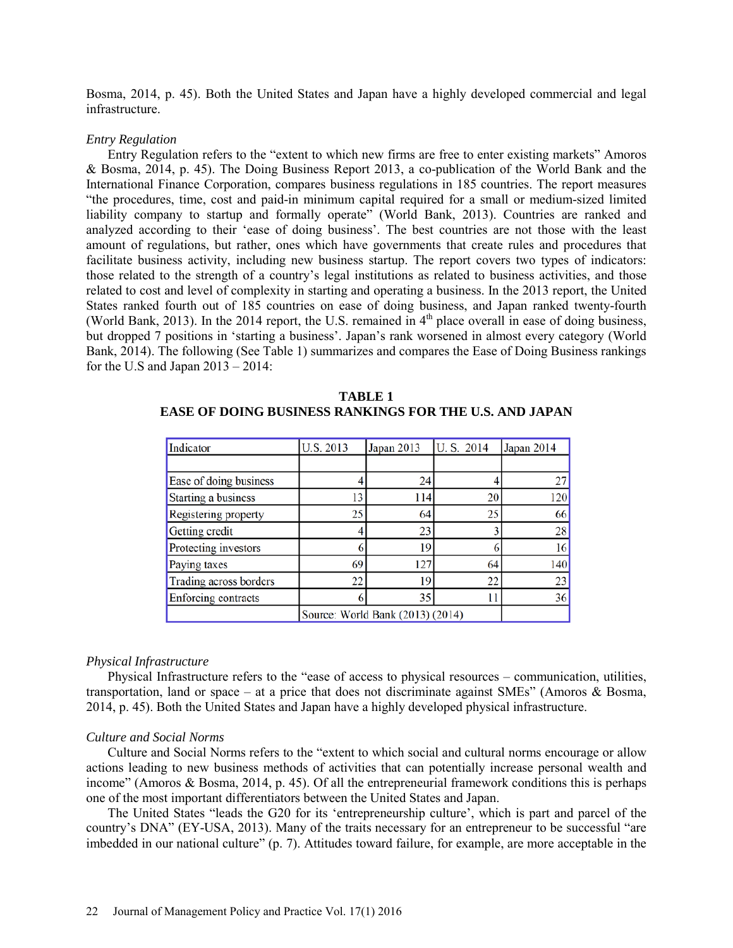Bosma, 2014, p. 45). Both the United States and Japan have a highly developed commercial and legal infrastructure.

### *Entry Regulation*

Entry Regulation refers to the "extent to which new firms are free to enter existing markets" Amoros & Bosma, 2014, p. 45). The Doing Business Report 2013, a co-publication of the World Bank and the International Finance Corporation, compares business regulations in 185 countries. The report measures "the procedures, time, cost and paid-in minimum capital required for a small or medium-sized limited liability company to startup and formally operate" (World Bank, 2013). Countries are ranked and analyzed according to their 'ease of doing business'. The best countries are not those with the least amount of regulations, but rather, ones which have governments that create rules and procedures that facilitate business activity, including new business startup. The report covers two types of indicators: those related to the strength of a country's legal institutions as related to business activities, and those related to cost and level of complexity in starting and operating a business. In the 2013 report, the United States ranked fourth out of 185 countries on ease of doing business, and Japan ranked twenty-fourth (World Bank, 2013). In the 2014 report, the U.S. remained in  $4<sup>th</sup>$  place overall in ease of doing business, but dropped 7 positions in 'starting a business'. Japan's rank worsened in almost every category (World Bank, 2014). The following (See Table 1) summarizes and compares the Ease of Doing Business rankings for the U.S and Japan  $2013 - 2014$ :

| Indicator                        | U.S. 2013 | Japan 2013 | U.S. 2014 | Japan 2014 |
|----------------------------------|-----------|------------|-----------|------------|
|                                  |           |            |           |            |
| Ease of doing business           |           | 24         |           | 27         |
| Starting a business              | 13        | 114        | 20        | 120        |
| Registering property             | 25        | 64         | 25        | 66         |
| Getting credit                   |           | 23         |           | 28         |
| Protecting investors             |           | 19         |           | 16         |
| Paying taxes                     | 69        | 127        | 64        | 140        |
| Trading across borders           | 22        | 19         | 22        | 23         |
| Enforcing contracts              | 6         | 35         | 11        | 36         |
| Source: World Bank (2013) (2014) |           |            |           |            |

**TABLE 1 EASE OF DOING BUSINESS RANKINGS FOR THE U.S. AND JAPAN**

### *Physical Infrastructure*

Physical Infrastructure refers to the "ease of access to physical resources – communication, utilities, transportation, land or space – at a price that does not discriminate against SMEs" (Amoros & Bosma, 2014, p. 45). Both the United States and Japan have a highly developed physical infrastructure.

#### *Culture and Social Norms*

Culture and Social Norms refers to the "extent to which social and cultural norms encourage or allow actions leading to new business methods of activities that can potentially increase personal wealth and income" (Amoros & Bosma, 2014, p. 45). Of all the entrepreneurial framework conditions this is perhaps one of the most important differentiators between the United States and Japan.

The United States "leads the G20 for its 'entrepreneurship culture', which is part and parcel of the country's DNA" (EY-USA, 2013). Many of the traits necessary for an entrepreneur to be successful "are imbedded in our national culture" (p. 7). Attitudes toward failure, for example, are more acceptable in the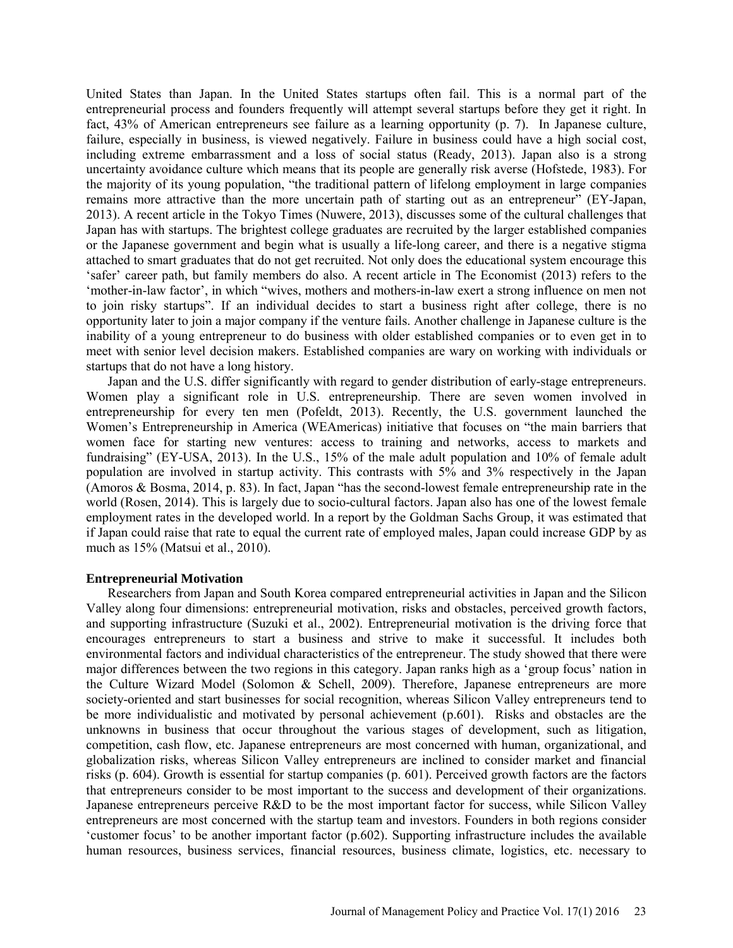United States than Japan. In the United States startups often fail. This is a normal part of the entrepreneurial process and founders frequently will attempt several startups before they get it right. In fact, 43% of American entrepreneurs see failure as a learning opportunity (p. 7). In Japanese culture, failure, especially in business, is viewed negatively. Failure in business could have a high social cost, including extreme embarrassment and a loss of social status (Ready, 2013). Japan also is a strong uncertainty avoidance culture which means that its people are generally risk averse (Hofstede, 1983). For the majority of its young population, "the traditional pattern of lifelong employment in large companies remains more attractive than the more uncertain path of starting out as an entrepreneur" (EY-Japan, 2013). A recent article in the Tokyo Times (Nuwere, 2013), discusses some of the cultural challenges that Japan has with startups. The brightest college graduates are recruited by the larger established companies or the Japanese government and begin what is usually a life-long career, and there is a negative stigma attached to smart graduates that do not get recruited. Not only does the educational system encourage this 'safer' career path, but family members do also. A recent article in The Economist (2013) refers to the 'mother-in-law factor', in which "wives, mothers and mothers-in-law exert a strong influence on men not to join risky startups". If an individual decides to start a business right after college, there is no opportunity later to join a major company if the venture fails. Another challenge in Japanese culture is the inability of a young entrepreneur to do business with older established companies or to even get in to meet with senior level decision makers. Established companies are wary on working with individuals or startups that do not have a long history.

Japan and the U.S. differ significantly with regard to gender distribution of early-stage entrepreneurs. Women play a significant role in U.S. entrepreneurship. There are seven women involved in entrepreneurship for every ten men (Pofeldt, 2013). Recently, the U.S. government launched the Women's Entrepreneurship in America (WEAmericas) initiative that focuses on "the main barriers that women face for starting new ventures: access to training and networks, access to markets and fundraising" (EY-USA, 2013). In the U.S., 15% of the male adult population and 10% of female adult population are involved in startup activity. This contrasts with 5% and 3% respectively in the Japan (Amoros & Bosma, 2014, p. 83). In fact, Japan "has the second-lowest female entrepreneurship rate in the world (Rosen, 2014). This is largely due to socio-cultural factors. Japan also has one of the lowest female employment rates in the developed world. In a report by the Goldman Sachs Group, it was estimated that if Japan could raise that rate to equal the current rate of employed males, Japan could increase GDP by as much as 15% (Matsui et al., 2010).

# **Entrepreneurial Motivation**

Researchers from Japan and South Korea compared entrepreneurial activities in Japan and the Silicon Valley along four dimensions: entrepreneurial motivation, risks and obstacles, perceived growth factors, and supporting infrastructure (Suzuki et al., 2002). Entrepreneurial motivation is the driving force that encourages entrepreneurs to start a business and strive to make it successful. It includes both environmental factors and individual characteristics of the entrepreneur. The study showed that there were major differences between the two regions in this category. Japan ranks high as a 'group focus' nation in the Culture Wizard Model (Solomon & Schell, 2009). Therefore, Japanese entrepreneurs are more society-oriented and start businesses for social recognition, whereas Silicon Valley entrepreneurs tend to be more individualistic and motivated by personal achievement (p.601). Risks and obstacles are the unknowns in business that occur throughout the various stages of development, such as litigation, competition, cash flow, etc. Japanese entrepreneurs are most concerned with human, organizational, and globalization risks, whereas Silicon Valley entrepreneurs are inclined to consider market and financial risks (p. 604). Growth is essential for startup companies (p. 601). Perceived growth factors are the factors that entrepreneurs consider to be most important to the success and development of their organizations. Japanese entrepreneurs perceive R&D to be the most important factor for success, while Silicon Valley entrepreneurs are most concerned with the startup team and investors. Founders in both regions consider 'customer focus' to be another important factor (p.602). Supporting infrastructure includes the available human resources, business services, financial resources, business climate, logistics, etc. necessary to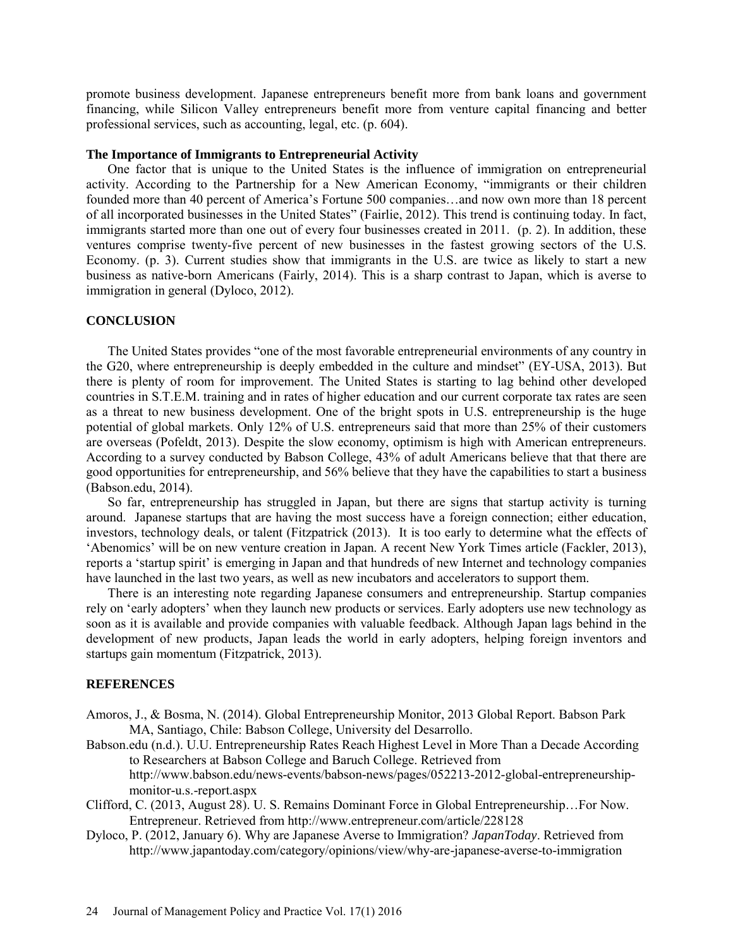promote business development. Japanese entrepreneurs benefit more from bank loans and government financing, while Silicon Valley entrepreneurs benefit more from venture capital financing and better professional services, such as accounting, legal, etc. (p. 604).

### **The Importance of Immigrants to Entrepreneurial Activity**

One factor that is unique to the United States is the influence of immigration on entrepreneurial activity. According to the Partnership for a New American Economy, "immigrants or their children founded more than 40 percent of America's Fortune 500 companies…and now own more than 18 percent of all incorporated businesses in the United States" (Fairlie, 2012). This trend is continuing today. In fact, immigrants started more than one out of every four businesses created in 2011. (p. 2). In addition, these ventures comprise twenty-five percent of new businesses in the fastest growing sectors of the U.S. Economy. (p. 3). Current studies show that immigrants in the U.S. are twice as likely to start a new business as native-born Americans (Fairly, 2014). This is a sharp contrast to Japan, which is averse to immigration in general (Dyloco, 2012).

# **CONCLUSION**

The United States provides "one of the most favorable entrepreneurial environments of any country in the G20, where entrepreneurship is deeply embedded in the culture and mindset" (EY-USA, 2013). But there is plenty of room for improvement. The United States is starting to lag behind other developed countries in S.T.E.M. training and in rates of higher education and our current corporate tax rates are seen as a threat to new business development. One of the bright spots in U.S. entrepreneurship is the huge potential of global markets. Only 12% of U.S. entrepreneurs said that more than 25% of their customers are overseas (Pofeldt, 2013). Despite the slow economy, optimism is high with American entrepreneurs. According to a survey conducted by Babson College, 43% of adult Americans believe that that there are good opportunities for entrepreneurship, and 56% believe that they have the capabilities to start a business (Babson.edu, 2014).

So far, entrepreneurship has struggled in Japan, but there are signs that startup activity is turning around. Japanese startups that are having the most success have a foreign connection; either education, investors, technology deals, or talent (Fitzpatrick (2013). It is too early to determine what the effects of 'Abenomics' will be on new venture creation in Japan. A recent New York Times article (Fackler, 2013), reports a 'startup spirit' is emerging in Japan and that hundreds of new Internet and technology companies have launched in the last two years, as well as new incubators and accelerators to support them.

There is an interesting note regarding Japanese consumers and entrepreneurship. Startup companies rely on 'early adopters' when they launch new products or services. Early adopters use new technology as soon as it is available and provide companies with valuable feedback. Although Japan lags behind in the development of new products, Japan leads the world in early adopters, helping foreign inventors and startups gain momentum (Fitzpatrick, 2013).

#### **REFERENCES**

- Amoros, J., & Bosma, N. (2014). Global Entrepreneurship Monitor, 2013 Global Report. Babson Park MA, Santiago, Chile: Babson College, University del Desarrollo.
- Babson.edu (n.d.). U.U. Entrepreneurship Rates Reach Highest Level in More Than a Decade According to Researchers at Babson College and Baruch College. Retrieved from [http://www.babson.edu/news-events/babson-news/pages/052213-2012-global-entrepreneurship](http://www.babson.edu/news-events/babson-news/pages/052213-2012-global-entrepreneurship-monitor-u.s.-report.aspx)[monitor-u.s.-report.aspx](http://www.babson.edu/news-events/babson-news/pages/052213-2012-global-entrepreneurship-monitor-u.s.-report.aspx)
- Clifford, C. (2013, August 28). U. S. Remains Dominant Force in Global Entrepreneurship…For Now. Entrepreneur. Retrieved from<http://www.entrepreneur.com/article/228128>
- Dyloco, P. (2012, January 6). Why are Japanese Averse to Immigration? *JapanToday*. Retrieved from <http://www.japantoday.com/category/opinions/view/why-are-japanese-averse-to-immigration>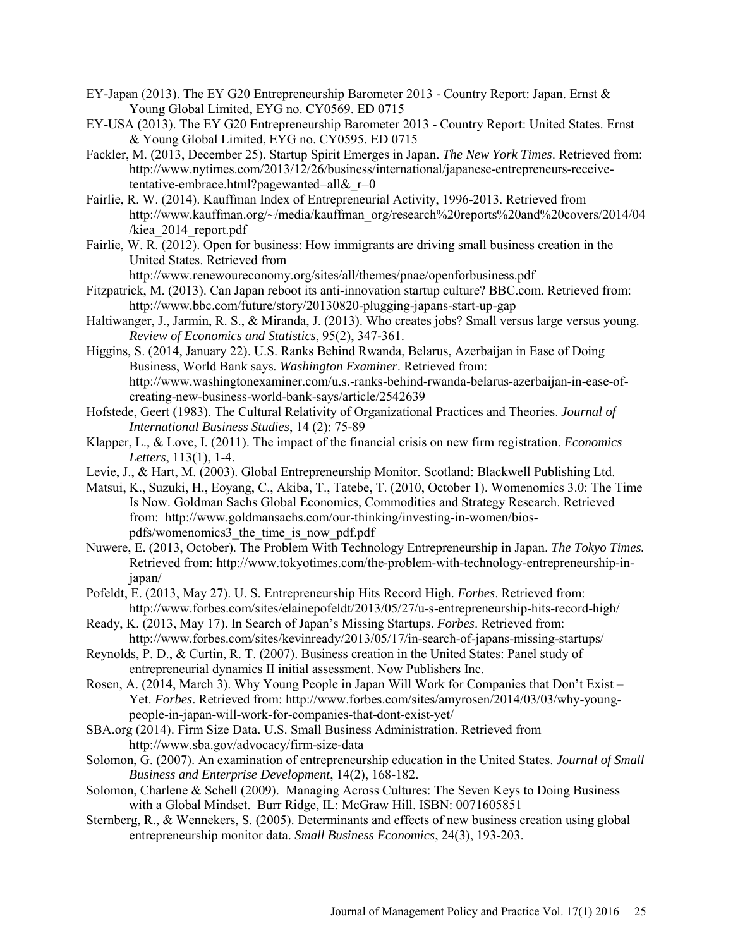- EY-Japan (2013). The EY G20 Entrepreneurship Barometer 2013 Country Report: Japan. Ernst & Young Global Limited, EYG no. CY0569. ED 0715
- EY-USA (2013). The EY G20 Entrepreneurship Barometer 2013 Country Report: United States. Ernst & Young Global Limited, EYG no. CY0595. ED 0715
- Fackler, M. (2013, December 25). Startup Spirit Emerges in Japan. *The New York Times*. Retrieved from: [http://www.nytimes.com/2013/12/26/business/international/japanese-entrepreneurs-receive](http://www.nytimes.com/2013/12/26/business/international/japanese-entrepreneurs-receive-tentative-embrace.html?pagewanted=all&_r=0)tentative-embrace.html?pagewanted=all& $r=0$
- Fairlie, R. W. (2014). Kauffman Index of Entrepreneurial Activity, 1996-2013. Retrieved from [http://www.kauffman.org/~/media/kauffman\\_org/research%20reports%20and%20covers/2014/04](http://www.kauffman.org/~/media/kauffman_org/research%20reports%20and%20covers/2014/04/kiea_2014_report.pdf) [/kiea\\_2014\\_report.pdf](http://www.kauffman.org/~/media/kauffman_org/research%20reports%20and%20covers/2014/04/kiea_2014_report.pdf)
- Fairlie, W. R. (2012). Open for business: How immigrants are driving small business creation in the United States. Retrieved from

<http://www.renewoureconomy.org/sites/all/themes/pnae/openforbusiness.pdf>

- Fitzpatrick, M. (2013). Can Japan reboot its anti-innovation startup culture? BBC.com. Retrieved from: <http://www.bbc.com/future/story/20130820-plugging-japans-start-up-gap>
- Haltiwanger, J., Jarmin, R. S., & Miranda, J. (2013). Who creates jobs? Small versus large versus young. *Review of Economics and Statistics*, 95(2), 347-361.
- Higgins, S. (2014, January 22). U.S. Ranks Behind Rwanda, Belarus, Azerbaijan in Ease of Doing Business, World Bank says. *Washington Examiner*. Retrieved from: [http://www.washingtonexaminer.com/u.s.-ranks-behind-rwanda-belarus-azerbaijan-in-ease-of](http://www.washingtonexaminer.com/u.s.-ranks-behind-rwanda-belarus-azerbaijan-in-ease-of-creating-new-business-world-bank-says/article/2542639)[creating-new-business-world-bank-says/article/2542639](http://www.washingtonexaminer.com/u.s.-ranks-behind-rwanda-belarus-azerbaijan-in-ease-of-creating-new-business-world-bank-says/article/2542639)
- Hofstede, Geert (1983). The Cultural Relativity of Organizational Practices and Theories. *Journal of International Business Studies*, 14 (2): 75-89
- Klapper, L., & Love, I. (2011). The impact of the financial crisis on new firm registration. *Economics Letters*, 113(1), 1-4.
- Levie, J., & Hart, M. (2003). Global Entrepreneurship Monitor. Scotland: Blackwell Publishing Ltd.
- Matsui, K., Suzuki, H., Eoyang, C., Akiba, T., Tatebe, T. (2010, October 1). Womenomics 3.0: The Time Is Now. Goldman Sachs Global Economics, Commodities and Strategy Research. Retrieved from: [http://www.goldmansachs.com/our-thinking/investing-in-women/bios](http://www.goldmansachs.com/our-thinking/investing-in-women/bios-pdfs/womenomics3_the_time_is_now_pdf.pdf)[pdfs/womenomics3\\_the\\_time\\_is\\_now\\_pdf.pdf](http://www.goldmansachs.com/our-thinking/investing-in-women/bios-pdfs/womenomics3_the_time_is_now_pdf.pdf)
- Nuwere, E. (2013, October). The Problem With Technology Entrepreneurship in Japan. *The Tokyo Times.* Retrieved from: [http://www.tokyotimes.com/the-problem-with-technology-entrepreneurship-in](http://www.tokyotimes.com/the-problem-with-technology-entrepreneurship-in-japan/)[japan/](http://www.tokyotimes.com/the-problem-with-technology-entrepreneurship-in-japan/)
- Pofeldt, E. (2013, May 27). U. S. Entrepreneurship Hits Record High. *Forbes*. Retrieved from: <http://www.forbes.com/sites/elainepofeldt/2013/05/27/u-s-entrepreneurship-hits-record-high/>
- Ready, K. (2013, May 17). In Search of Japan's Missing Startups. *Forbes*. Retrieved from: <http://www.forbes.com/sites/kevinready/2013/05/17/in-search-of-japans-missing-startups/>
- Reynolds, P. D., & Curtin, R. T. (2007). Business creation in the United States: Panel study of entrepreneurial dynamics II initial assessment. Now Publishers Inc.
- Rosen, A. (2014, March 3). Why Young People in Japan Will Work for Companies that Don't Exist Yet. *Forbes*. Retrieved from: [http://www.forbes.com/sites/amyrosen/2014/03/03/why-young](http://www.forbes.com/sites/amyrosen/2014/03/03/why-young-people-in-japan-will-work-for-companies-that-dont-exist-yet/)[people-in-japan-will-work-for-companies-that-dont-exist-yet/](http://www.forbes.com/sites/amyrosen/2014/03/03/why-young-people-in-japan-will-work-for-companies-that-dont-exist-yet/)
- SBA.org (2014). Firm Size Data. U.S. Small Business Administration. Retrieved from <http://www.sba.gov/advocacy/firm-size-data>
- Solomon, G. (2007). An examination of entrepreneurship education in the United States. *Journal of Small Business and Enterprise Development*, 14(2), 168-182.
- Solomon, Charlene & Schell (2009). Managing Across Cultures: The Seven Keys to Doing Business with a Global Mindset. Burr Ridge, IL: McGraw Hill. ISBN: 0071605851
- Sternberg, R., & Wennekers, S. (2005). Determinants and effects of new business creation using global entrepreneurship monitor data. *Small Business Economics*, 24(3), 193-203.